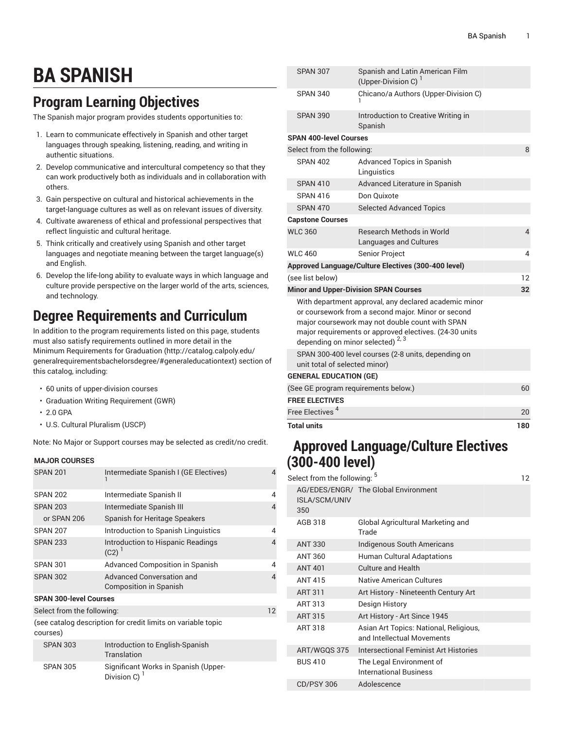# **BA SPANISH**

## **Program Learning Objectives**

The Spanish major program provides students opportunities to:

- 1. Learn to communicate effectively in Spanish and other target languages through speaking, listening, reading, and writing in authentic situations.
- 2. Develop communicative and intercultural competency so that they can work productively both as individuals and in collaboration with others.
- 3. Gain perspective on cultural and historical achievements in the target-language cultures as well as on relevant issues of diversity.
- 4. Cultivate awareness of ethical and professional perspectives that reflect linguistic and cultural heritage.
- 5. Think critically and creatively using Spanish and other target languages and negotiate meaning between the target language(s) and English.
- 6. Develop the life-long ability to evaluate ways in which language and culture provide perspective on the larger world of the arts, sciences, and technology.

### **Degree Requirements and Curriculum**

In addition to the program requirements listed on this page, students must also satisfy requirements outlined in more detail in the Minimum [Requirements](http://catalog.calpoly.edu/generalrequirementsbachelorsdegree/#generaleducationtext) for Graduation ([http://catalog.calpoly.edu/](http://catalog.calpoly.edu/generalrequirementsbachelorsdegree/#generaleducationtext) [generalrequirementsbachelorsdegree/#generaleducationtext\)](http://catalog.calpoly.edu/generalrequirementsbachelorsdegree/#generaleducationtext) section of this catalog, including:

- 60 units of upper-division courses
- Graduation Writing Requirement (GWR)
- 2.0 GPA
- U.S. Cultural Pluralism (USCP)

Note: No Major or Support courses may be selected as credit/no credit.

#### **MAJOR COURSES**

| Intermediate Spanish I (GE Electives)<br><b>SPAN 201</b>                 |                                                            | $\Delta$ |  |  |
|--------------------------------------------------------------------------|------------------------------------------------------------|----------|--|--|
| <b>SPAN 202</b>                                                          | Intermediate Spanish II                                    | 4        |  |  |
| <b>SPAN 203</b>                                                          | Intermediate Spanish III                                   | 4        |  |  |
| or SPAN 206                                                              | Spanish for Heritage Speakers                              |          |  |  |
| <b>SPAN 207</b>                                                          | Introduction to Spanish Linguistics                        | 4        |  |  |
| <b>SPAN 233</b>                                                          | Introduction to Hispanic Readings<br>$(C2)^{1}$            | 4        |  |  |
| <b>SPAN 301</b>                                                          | <b>Advanced Composition in Spanish</b>                     | 4        |  |  |
| <b>SPAN 302</b>                                                          | Advanced Conversation and<br><b>Composition in Spanish</b> | 4        |  |  |
| <b>SPAN 300-level Courses</b>                                            |                                                            |          |  |  |
| 12<br>Select from the following:                                         |                                                            |          |  |  |
| (see catalog description for credit limits on variable topic<br>courses) |                                                            |          |  |  |
| <b>SPAN 303</b>                                                          | Introduction to English-Spanish<br>Translation             |          |  |  |
| <b>SPAN 305</b>                                                          | Significant Works in Spanish (Upper-<br>Division C) $1$    |          |  |  |

| <b>Total units</b>                                                                   |                                                                                                                                                                                                                                                                         | 180 |
|--------------------------------------------------------------------------------------|-------------------------------------------------------------------------------------------------------------------------------------------------------------------------------------------------------------------------------------------------------------------------|-----|
| Free Electives <sup>4</sup>                                                          |                                                                                                                                                                                                                                                                         | 20  |
| <b>FREE ELECTIVES</b>                                                                |                                                                                                                                                                                                                                                                         |     |
| (See GE program requirements below.)                                                 |                                                                                                                                                                                                                                                                         | 60  |
| <b>GENERAL EDUCATION (GE)</b>                                                        |                                                                                                                                                                                                                                                                         |     |
| SPAN 300-400 level courses (2-8 units, depending on<br>unit total of selected minor) |                                                                                                                                                                                                                                                                         |     |
|                                                                                      | With department approval, any declared academic minor<br>or coursework from a second major. Minor or second<br>major coursework may not double count with SPAN<br>major requirements or approved electives. (24-30 units<br>depending on minor selected) <sup>2,3</sup> |     |
|                                                                                      | <b>Minor and Upper-Division SPAN Courses</b>                                                                                                                                                                                                                            | 32  |
| (see list below)                                                                     |                                                                                                                                                                                                                                                                         | 12  |
|                                                                                      | Approved Language/Culture Electives (300-400 level)                                                                                                                                                                                                                     |     |
| <b>WLC 460</b>                                                                       | Senior Project                                                                                                                                                                                                                                                          | 4   |
| <b>WLC 360</b>                                                                       | <b>Research Methods in World</b><br>Languages and Cultures                                                                                                                                                                                                              | 4   |
| <b>Capstone Courses</b>                                                              |                                                                                                                                                                                                                                                                         |     |
| <b>SPAN 470</b>                                                                      | <b>Selected Advanced Topics</b>                                                                                                                                                                                                                                         |     |
| SPAN 416                                                                             | Don Quixote                                                                                                                                                                                                                                                             |     |
| <b>SPAN 410</b>                                                                      | Linguistics<br>Advanced Literature in Spanish                                                                                                                                                                                                                           |     |
| <b>SPAN 402</b>                                                                      | Advanced Topics in Spanish                                                                                                                                                                                                                                              |     |
| Select from the following:                                                           |                                                                                                                                                                                                                                                                         | 8   |
| <b>SPAN 390</b><br><b>SPAN 400-level Courses</b>                                     | Introduction to Creative Writing in<br>Spanish                                                                                                                                                                                                                          |     |
| <b>SPAN 340</b>                                                                      | Chicano/a Authors (Upper-Division C)                                                                                                                                                                                                                                    |     |
| <b>SPAN 307</b>                                                                      | Spanish and Latin American Film<br>(Upper-Division C) <sup>1</sup>                                                                                                                                                                                                      |     |
|                                                                                      |                                                                                                                                                                                                                                                                         |     |

### **Approved Language/Culture Electives (300-400 level)**

| Select from the following: <sup>5</sup><br>12 |                             |                                                                      |  |
|-----------------------------------------------|-----------------------------|----------------------------------------------------------------------|--|
|                                               | <b>ISLA/SCM/UNIV</b><br>350 | AG/EDES/ENGR/ The Global Environment                                 |  |
|                                               | AGB 318                     | Global Agricultural Marketing and<br>Trade                           |  |
|                                               | <b>ANT 330</b>              | Indigenous South Americans                                           |  |
|                                               | ANT 360                     | Human Cultural Adaptations                                           |  |
|                                               | <b>ANT 401</b>              | <b>Culture and Health</b>                                            |  |
|                                               | <b>ANT 415</b>              | Native American Cultures                                             |  |
|                                               | <b>ART 311</b>              | Art History - Nineteenth Century Art                                 |  |
|                                               | ART 313                     | Design History                                                       |  |
|                                               | ART 315                     | Art History - Art Since 1945                                         |  |
|                                               | ART 318                     | Asian Art Topics: National, Religious,<br>and Intellectual Movements |  |
|                                               | ART/WGQS 375                | Intersectional Feminist Art Histories                                |  |
|                                               | <b>BUS 410</b>              | The Legal Environment of<br><b>International Business</b>            |  |
|                                               | <b>CD/PSY 306</b>           | Adolescence                                                          |  |
|                                               |                             |                                                                      |  |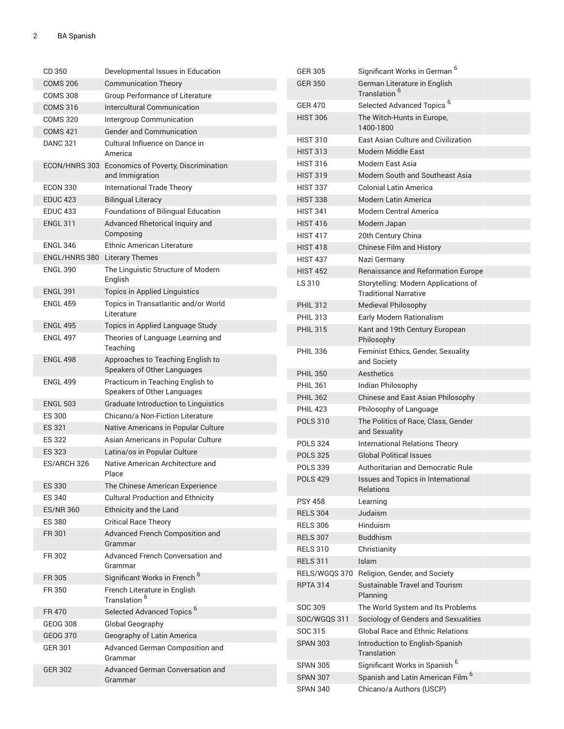| CD 350           | Developmental Issues in Education                        | <b>GER 305</b>  | Significant Works in German <sup>6</sup>                             |
|------------------|----------------------------------------------------------|-----------------|----------------------------------------------------------------------|
| <b>COMS 206</b>  | <b>Communication Theory</b>                              | <b>GER 350</b>  | German Literature in English                                         |
| <b>COMS 308</b>  | Group Performance of Literature                          |                 | Translation <sup>6</sup>                                             |
| <b>COMS 316</b>  | Intercultural Communication                              | <b>GER 470</b>  | Selected Advanced Topics <sup>6</sup>                                |
| <b>COMS 320</b>  | Intergroup Communication                                 | <b>HIST 306</b> | The Witch-Hunts in Europe,                                           |
| <b>COMS 421</b>  | <b>Gender and Communication</b>                          |                 | 1400-1800                                                            |
| <b>DANC 321</b>  | Cultural Influence on Dance in                           | <b>HIST 310</b> | East Asian Culture and Civilization                                  |
|                  | America                                                  | <b>HIST 313</b> | Modern Middle East                                                   |
|                  | ECON/HNRS 303 Economics of Poverty, Discrimination       | <b>HIST 316</b> | Modern East Asia                                                     |
|                  | and Immigration                                          | <b>HIST 319</b> | Modern South and Southeast Asia                                      |
| <b>ECON 330</b>  | <b>International Trade Theory</b>                        | <b>HIST 337</b> | <b>Colonial Latin America</b>                                        |
| <b>EDUC 423</b>  | <b>Bilingual Literacy</b>                                | <b>HIST 338</b> | Modern Latin America                                                 |
| <b>EDUC 433</b>  | Foundations of Bilingual Education                       | <b>HIST 341</b> | <b>Modern Central America</b>                                        |
| <b>ENGL 311</b>  | Advanced Rhetorical Inquiry and                          | <b>HIST 416</b> | Modern Japan                                                         |
|                  | Composing                                                | <b>HIST 417</b> | 20th Century China                                                   |
| <b>ENGL 346</b>  | <b>Ethnic American Literature</b>                        | <b>HIST 418</b> | Chinese Film and History                                             |
| ENGL/HNRS 380    | <b>Literary Themes</b>                                   | <b>HIST 437</b> | Nazi Germany                                                         |
| <b>ENGL 390</b>  | The Linguistic Structure of Modern<br>English            | <b>HIST 452</b> | Renaissance and Reformation Europe                                   |
| <b>ENGL 391</b>  | <b>Topics in Applied Linguistics</b>                     | LS 310          | Storytelling: Modern Applications of<br><b>Traditional Narrative</b> |
| <b>ENGL 459</b>  | Topics in Transatlantic and/or World                     | <b>PHIL 312</b> | <b>Medieval Philosophy</b>                                           |
|                  | Literature                                               | <b>PHIL 313</b> | Early Modern Rationalism                                             |
| <b>ENGL 495</b>  | Topics in Applied Language Study                         | <b>PHIL 315</b> | Kant and 19th Century European                                       |
| <b>ENGL 497</b>  | Theories of Language Learning and<br>Teaching            |                 | Philosophy                                                           |
| <b>ENGL 498</b>  | Approaches to Teaching English to                        | <b>PHIL 336</b> | Feminist Ethics, Gender, Sexuality                                   |
|                  | Speakers of Other Languages                              |                 | and Society                                                          |
| <b>ENGL 499</b>  | Practicum in Teaching English to                         | <b>PHIL 350</b> | Aesthetics                                                           |
|                  | Speakers of Other Languages                              | <b>PHIL 361</b> | Indian Philosophy                                                    |
| <b>ENGL 503</b>  | <b>Graduate Introduction to Linguistics</b>              | <b>PHIL 362</b> | Chinese and East Asian Philosophy                                    |
| <b>ES 300</b>    | Chicano/a Non-Fiction Literature                         | <b>PHIL 423</b> | Philosophy of Language                                               |
| ES 321           | Native Americans in Popular Culture                      | <b>POLS 310</b> | The Politics of Race, Class, Gender<br>and Sexuality                 |
| <b>ES 322</b>    | Asian Americans in Popular Culture                       | <b>POLS 324</b> | International Relations Theory                                       |
| <b>ES 323</b>    | Latina/os in Popular Culture                             | <b>POLS 325</b> | <b>Global Political Issues</b>                                       |
| ES/ARCH 326      | Native American Architecture and                         | <b>POLS 339</b> | Authoritarian and Democratic Rule                                    |
|                  | Place                                                    | <b>POLS 429</b> | Issues and Topics in International                                   |
| <b>ES 330</b>    | The Chinese American Experience                          |                 | Relations                                                            |
| <b>ES 340</b>    | <b>Cultural Production and Ethnicity</b>                 | <b>PSY 458</b>  | Learning                                                             |
| <b>ES/NR 360</b> | Ethnicity and the Land                                   | <b>RELS 304</b> | Judaism                                                              |
| <b>ES 380</b>    | <b>Critical Race Theory</b>                              | <b>RELS 306</b> | Hinduism                                                             |
| FR 301           | Advanced French Composition and                          | <b>RELS 307</b> | <b>Buddhism</b>                                                      |
|                  | Grammar                                                  | <b>RELS 310</b> | Christianity                                                         |
| FR 302           | Advanced French Conversation and                         | <b>RELS 311</b> | Islam                                                                |
|                  | Grammar                                                  | RELS/WGQS 370   | Religion, Gender, and Society                                        |
| FR 305           | Significant Works in French <sup>6</sup>                 | <b>RPTA 314</b> | Sustainable Travel and Tourism                                       |
| FR 350           | French Literature in English<br>Translation <sup>6</sup> |                 | Planning                                                             |
| FR 470           | Selected Advanced Topics <sup>6</sup>                    | SOC 309         | The World System and Its Problems                                    |
| <b>GEOG 308</b>  | Global Geography                                         | SOC/WGQS 311    | Sociology of Genders and Sexualities                                 |
| <b>GEOG 370</b>  | Geography of Latin America                               | SOC 315         | <b>Global Race and Ethnic Relations</b>                              |
| <b>GER 301</b>   | Advanced German Composition and<br>Grammar               | <b>SPAN 303</b> | Introduction to English-Spanish<br>Translation                       |
| <b>GER 302</b>   | Advanced German Conversation and                         | <b>SPAN 305</b> | Significant Works in Spanish <sup>6</sup>                            |
|                  | Grammar                                                  | <b>SPAN 307</b> | Spanish and Latin American Film <sup>6</sup>                         |
|                  |                                                          | <b>SPAN 340</b> | Chicano/a Authors (USCP)                                             |